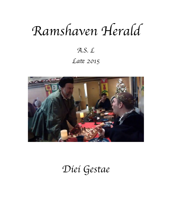# Ramshaven Herald

## $A.S. L$ Late 2015



## Diei Gestae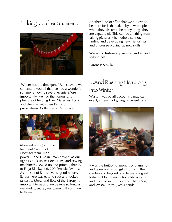Picking up after Summer…



Where has the time gone? Ramshaven, we can assure you all that we had a wonderful summer enjoying several events. More importantly, we had the honour and pleasure of helping Their Majesties, Lyda and Steinnar with their Pennsic preparations. Collectively, Ramshaven



(donated fabric) and the Incipient Canton of Northgeatham (man

power… and I mean "man power" as our fighters took up scissors, irons, and sewing machines!), sewed up and printed, thanks to Freja Blackwood, 200 Pennsic favours. As a result of Ramshavens' good nature, Ealdormere was easy to spot and looked fantastic. Moral and flow of the Barony is important to us and we believe so long as we work together, our game will continue to thrive.

Another kind of effort that we all love to be there for is that taken by new people, when they discover the many things they are capable of. This can be anything from taking pictures when others cannot, finding and developing new friendships, and of course picking up new skills.

Wassail to historical passions kindled and re-kindled!

Baroness Sibylla

#### …And Rushing Headlong into Winter!

Wassail was by all accounts a magical event, an event of giving, an event for all.



It was the fruition of months of planning and teamwork amongst all of us in the Canton and beyond, and to me is a great testament to the many friendships found and fostered in Our Society. Thank You, and Wassail to You, My Friends!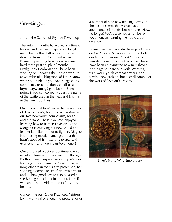#### Greetings…

…from the Canton of Bryniau Tywynnog!

The autumn months have always a time of harvest and frenzied preparation to get ready before the chill winds of winter descend from the North, and we in Bryniau Tywynnog have been working hard these past couple of months. Firstly, Lady Ceolwyn and I have been working on updating the Canton website at www.bryniau.blogspot.ca! Let us know what you think – if you have suggestions, comments, or corrections, email us at bryniau.tywynnog@gmail.com. Bonus points if you can correctly guess the name of the castle used in the header (Hint: It's in the Low Countries).

On the combat front, we've had a number of developments, but none so exciting as our two new youth combatants, Magnus and Morgana! These two have enjoyed learning how to fight in Division 1, and Morgana is enjoying her new shield and leather lamellar armour to fight in. Magnus is still using mostly loaner gear, but that hasn't stopped him wanting to spar with everyone – and I do mean \*everyone\*!

Our armoured practices continue to enjoy excellent turnout. Only a few months ago, Bartholomew Hespeler was completely in loaner gear for Bryniau's Royal Einvigi – now, other than for his arm protection, he's sporting a complete set of his own armour, and looking good! We're also pleased to see Berenger back out in armour. Now if we can only get Vidarr time to finish his helm…

Concerning our Rapier Practices, Mistress Eryny was kind of enough to procure for us a number of nice new fencing gloves. In the past, it seems that we've had an abundance left hands, but no rights. Now, no longer! We've also had a number of youth fencers learning the noble art of defence.

Bryniau gentles have also been productive on the Arts and Sciences front. Thanks to our beloved baronial Arts & Sciences minister Cesare, those of us on Facebook have been enjoying the new Ramshaven A&S page to share our work. Weaving, wire-work, youth combat armour, and sewing new garb are but a small sample of the work of Bryniau's artisans.



Emer's Norse Wire Embroidery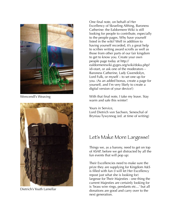

Wencendl's Weaving



Dietrich's Youth Lamellar

One final note, on behalf of Her Excellency of Skraeling Althing, Baroness Catherine: the Ealdormere Wiki is still looking for people to contribute, especially to the people pages. Why have yourself listed in the wiki? Well in addition to having yourself recorded, it's a great help to scribes writing award scrolls as well as those from other parts of our fair kingdom to get to know you. Create your own people page today at http:// ealdormerewiki.gyges.org/wiki/doku.php? id=start, or ask one of the moderators – Baroness Catherine, Lady Gwendolyn, Lord Fulk, or myself – to set one up for you. (As an added bonus, create a page for yourself, and I'm very likely to create a digital version of your device!)

With that final note, I take my leave. Stay warm and safe this winter!

Yours in Service, Lord Dietrich von Sachsen, Seneschal of Bryniau Tywynnog (ed. at time of writing)

### Let's Make More Largesse!

Things we, as a barony, need to get on top of ASAP, before we get distracted by all the fun events that will pop up:

Their Excellencies need to make sure the prize they are supplying for Kingdom A&S is filled with fun (I will let Her Excellency repost just what she is looking for) largesse for Their Majesties - one thing the current Majesties are certainly looking for is 'brass wire rings, pendants etc...' but all donations are good and carry over to the next generation.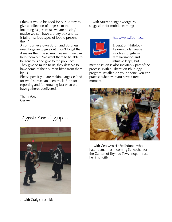I think it would be good for our Barony to give a collection of largesse to the incoming Majesties (as we are hosting) maybe we can have a pretty box and stuff it full of various types of loot to present them?

Also - our very own Baron and Baroness need largesse to give out. Don't forget that it makes their life so much easier if we can help them out. We want them to be able to be generous and give to the populace. They give so much to us, they deserve to have some of their burden lifted from them by us.

Please post if you are making largesse (and for who) so we can keep track. Both for reporting and for knowing just what we have gathered /delivered.

Thank You, Cesare

Digest: Keeping up…



…with Craig's fresh kit

…with Muirenn ingen Morgair's suggestion for mobile learning:



#### <http://www.libphil.ca>

Liberation Philology Learning a language involves long-term familiarisation and intuitive leaps, but

memorisation is also inevitably part of the process. With a Liberation Philology program installed on your phone, you can practise whenever you have a free moment.



… with Ceolwyn Æt Fealhdune, who has…plans… as Incoming Seneschal for the Canton of Bryniau Tywynnog. I trust her implicitly!